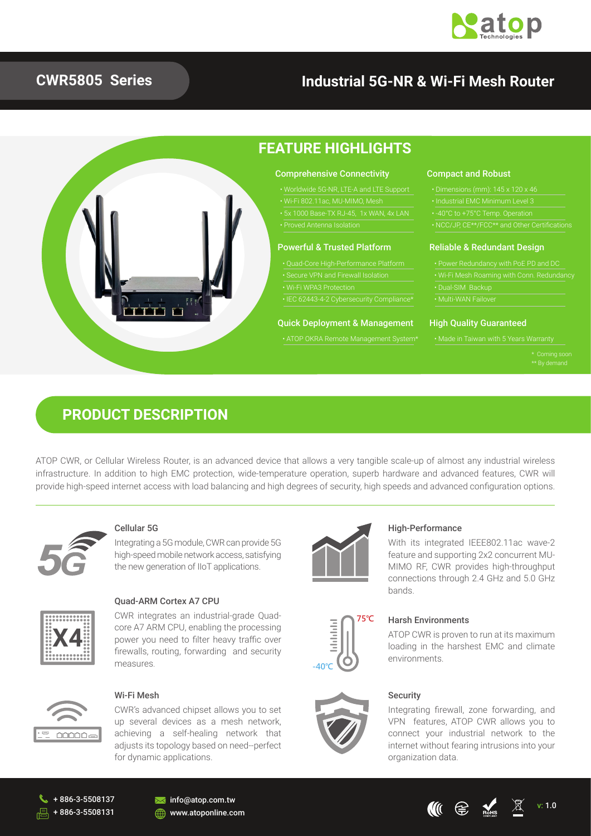

### **CWR5805 Series**

## **Industrial 5G-NR & Wi-Fi Mesh Router**



## **FEATURE HIGHLIGHTS**

#### Comprehensive Connectivity

- Wi-Fi 802.11ac, MU-MIMO, Mesh
- 
- Proved Antenna Isolation

#### Powerful & Trusted Platform

- 
- 
- 
- IEC 62443-4-2 Cybersecurity Compliance\*

#### Quick Deployment & Management

#### Compact and Robust

- 
- 
- 
- 

#### Reliable & Redundant Design

- 
- 
- 
- Multi-WAN Failove

#### High Quality Guaranteed

### **PRODUCT DESCRIPTION**

ATOP CWR, or Cellular Wireless Router, is an advanced device that allows a very tangible scale-up of almost any industrial wireless infrastructure. In addition to high EMC protection, wide-temperature operation, superb hardware and advanced features, CWR will provide high-speed internet access with load balancing and high degrees of security, high speeds and advanced configuration options.



Integrating a 5G module, CWR can provide 5G high-speed mobile network access, satisfying the new generation of IIoT applications.



#### Quad-ARM Cortex A7 CPU

CWR integrates an industrial-grade Quadcore A7 ARM CPU, enabling the processing power you need to filter heavy traffic over firewalls, routing, forwarding and security measures.



CWR's advanced chipset allows you to set up several devices as a mesh network, achieving a self-healing network that adjusts its topology based on need--perfect for dynamic applications.



With its integrated IEEE802.11ac wave-2 feature and supporting 2x2 concurrent MU-MIMO RF, CWR provides high-throughput connections through 2.4 GHz and 5.0 GHz bands.



#### **75℃** Harsh Environments

ATOP CWR is proven to run at its maximum loading in the harshest EMC and climate environments.



Integrating firewall, zone forwarding, and VPN features, ATOP CWR allows you to connect your industrial network to the internet without fearing intrusions into your organization data.



### **M** info@atop.com.tw **WWW.atoponline.com**

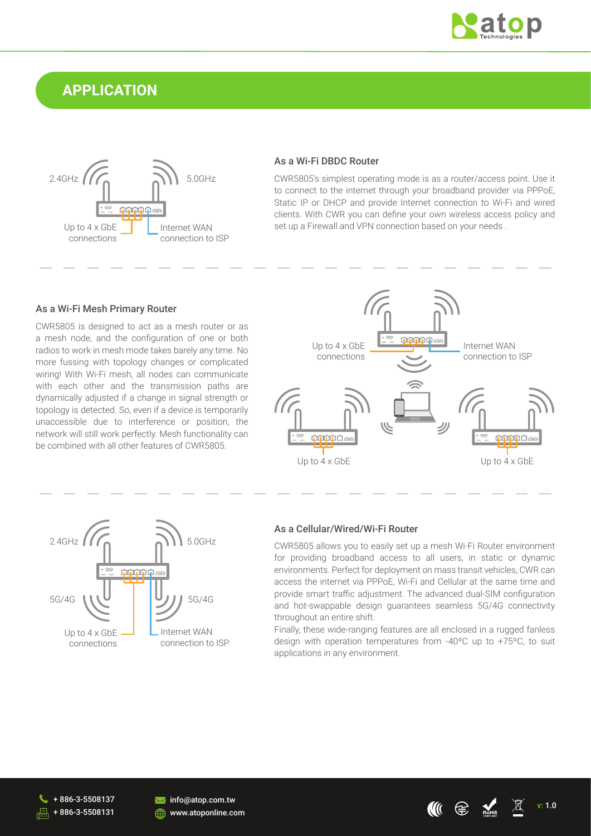

## **APPLICATION**



### As a Wi-Fi DBDC Router

CWR5805's simplest operating mode is as a router/access point. Use it to connect to the internet through your broadband provider via PPPoE, Static IP or DHCP and provide Internet connection to Wi-Fi and wired clients. With CWR you can define your own wireless access policy and set up a Firewall and VPN connection based on your needs .

#### As a Wi-Fi Mesh Primary Router

CWR5805 is designed to act as a mesh router or as a mesh node, and the configuration of one or both radios to work in mesh mode takes barely any time. No more fussing with topology changes or complicated wiring! With Wi-Fi mesh, all nodes can communicate with each other and the transmission paths are dynamically adjusted if a change in signal strength or topology is detected. So, even if a device is temporarily unaccessible due to interference or position, the network will still work perfectly. Mesh functionality can be combined with all other features of CWR5805.





### As a Cellular/Wired/Wi-Fi Router

CWR5805 allows you to easily set up a mesh Wi-Fi Router environment for providing broadband access to all users, in static or dynamic environments. Perfect for deployment on mass transit vehicles, CWR can access the internet via PPPoE, Wi-Fi and Cellular at the same time and provide smart traffic adjustment. The advanced dual-SIM configuration and hot-swappable design guarantees seamless 5G/4G connectivity throughout an entire shift.

Finally, these wide-ranging features are all enclosed in a rugged fanless design with operation temperatures from -40ºC up to +75ºC, to suit applications in any environment.

v: 1.0

**M** info@atop.com.tw **WWW.atoponline.com**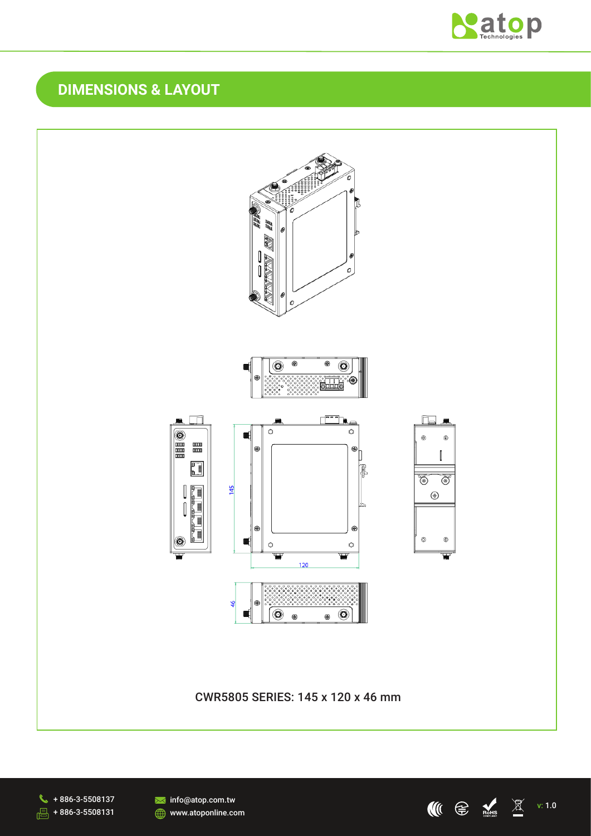

v: 1.0

 $\boxed{\boxtimes}$ 

**MICE** 

## **DIMENSIONS & LAYOUT**





**M**info@atop.com.tw **WWW.atoponline.com**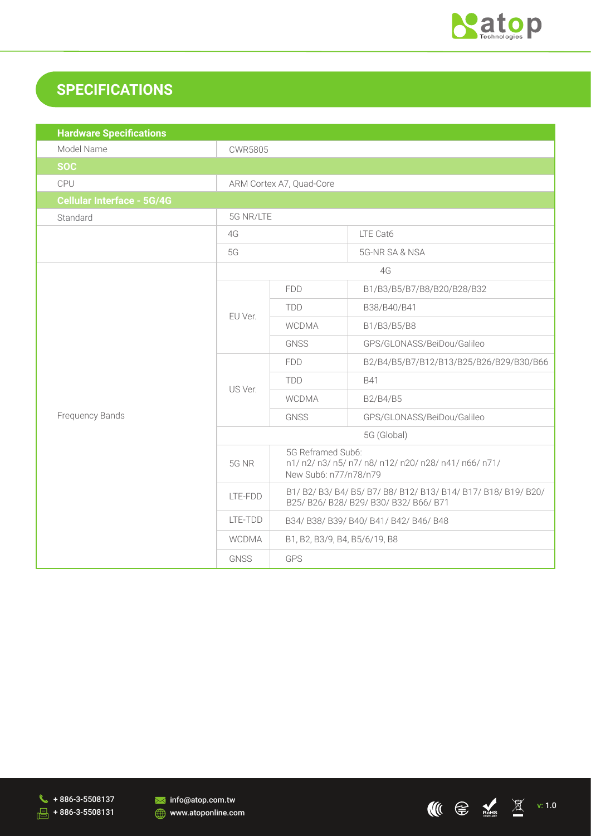

VIII (C Modes X v: 1.0

# **SPECIFICATIONS**

| <b>Hardware Specifications</b>    |                          |                                                                                                          |                                         |  |  |
|-----------------------------------|--------------------------|----------------------------------------------------------------------------------------------------------|-----------------------------------------|--|--|
| Model Name                        | <b>CWR5805</b>           |                                                                                                          |                                         |  |  |
| <b>SOC</b>                        |                          |                                                                                                          |                                         |  |  |
| CPU                               | ARM Cortex A7, Quad-Core |                                                                                                          |                                         |  |  |
| <b>Cellular Interface - 5G/4G</b> |                          |                                                                                                          |                                         |  |  |
| Standard                          | 5G NR/LTE                |                                                                                                          |                                         |  |  |
|                                   | 4G<br>5G                 |                                                                                                          | LTE Cat6                                |  |  |
|                                   |                          |                                                                                                          | 5G-NR SA & NSA                          |  |  |
|                                   |                          |                                                                                                          | 4G                                      |  |  |
|                                   |                          | <b>FDD</b>                                                                                               | B1/B3/B5/B7/B8/B20/B28/B32              |  |  |
|                                   | EU Ver.                  | <b>TDD</b>                                                                                               | B38/B40/B41                             |  |  |
|                                   |                          | <b>WCDMA</b>                                                                                             | B1/B3/B5/B8                             |  |  |
|                                   |                          | GNSS                                                                                                     | GPS/GLONASS/BeiDou/Galileo              |  |  |
|                                   | US Ver.                  | <b>FDD</b>                                                                                               | B2/B4/B5/B7/B12/B13/B25/B26/B29/B30/B66 |  |  |
|                                   |                          | <b>TDD</b>                                                                                               | <b>B41</b>                              |  |  |
|                                   |                          | <b>WCDMA</b>                                                                                             | B2/B4/B5                                |  |  |
| Frequency Bands                   |                          | GNSS                                                                                                     | GPS/GLONASS/BeiDou/Galileo              |  |  |
|                                   | 5G (Global)              |                                                                                                          |                                         |  |  |
|                                   | 5G NR                    | 5G Reframed Sub6:<br>n1/ n2/ n3/ n5/ n7/ n8/ n12/ n20/ n28/ n41/ n66/ n71/<br>New Sub6: n77/n78/n79      |                                         |  |  |
|                                   | LTE-FDD                  | B1/ B2/ B3/ B4/ B5/ B7/ B8/ B12/ B13/ B14/ B17/ B18/ B19/ B20/<br>B25/ B26/ B28/ B29/ B30/ B32/ B66/ B71 |                                         |  |  |
|                                   | LTE-TDD                  | B34/ B38/ B39/ B40/ B41/ B42/ B46/ B48                                                                   |                                         |  |  |
|                                   | <b>WCDMA</b>             | B1, B2, B3/9, B4, B5/6/19, B8                                                                            |                                         |  |  |
|                                   | GNSS                     | GPS                                                                                                      |                                         |  |  |

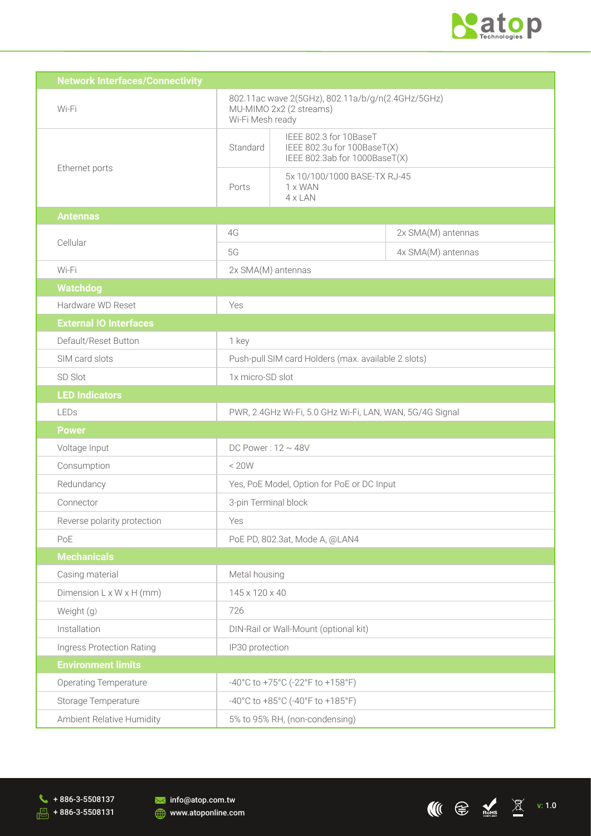

 $\left(\begin{matrix} \mathbb{U} & \mathbb{Q} & \mathbb{W} \end{matrix}\right)$  is the set of  $\mathbb{X}$  v: 1.0

| <b>Network Interfaces/Connectivity</b> |                                                                                                  |                                                                                        |                    |  |  |  |
|----------------------------------------|--------------------------------------------------------------------------------------------------|----------------------------------------------------------------------------------------|--------------------|--|--|--|
| Wi-Fi                                  | 802.11ac wave 2(5GHz), 802.11a/b/g/n(2.4GHz/5GHz)<br>MU-MIMO 2x2 (2 streams)<br>Wi-Fi Mesh ready |                                                                                        |                    |  |  |  |
|                                        | Standard                                                                                         | IEEE 802.3 for 10BaseT<br>IEEE 802.3u for 100BaseT(X)<br>IEEE 802.3ab for 1000BaseT(X) |                    |  |  |  |
| Ethernet ports                         | Ports                                                                                            | 5x 10/100/1000 BASE-TX RJ-45<br>$1 \times WAN$<br>$4 \times$ LAN                       |                    |  |  |  |
| <b>Antennas</b>                        |                                                                                                  |                                                                                        |                    |  |  |  |
|                                        | 2x SMA(M) antennas<br>4G                                                                         |                                                                                        |                    |  |  |  |
| Cellular                               | 5G                                                                                               |                                                                                        | 4x SMA(M) antennas |  |  |  |
| Wi-Fi                                  | 2x SMA(M) antennas                                                                               |                                                                                        |                    |  |  |  |
| <b>Watchdog</b>                        |                                                                                                  |                                                                                        |                    |  |  |  |
| Hardware WD Reset                      | Yes                                                                                              |                                                                                        |                    |  |  |  |
| <b>External IO Interfaces</b>          |                                                                                                  |                                                                                        |                    |  |  |  |
| Default/Reset Button                   | 1 key                                                                                            |                                                                                        |                    |  |  |  |
| SIM card slots                         | Push-pull SIM card Holders (max. available 2 slots)                                              |                                                                                        |                    |  |  |  |
| SD Slot                                | 1x micro-SD slot                                                                                 |                                                                                        |                    |  |  |  |
| <b>LED Indicators</b>                  |                                                                                                  |                                                                                        |                    |  |  |  |
| LEDs                                   | PWR, 2.4GHz Wi-Fi, 5.0 GHz Wi-Fi, LAN, WAN, 5G/4G Signal                                         |                                                                                        |                    |  |  |  |
| <b>Power</b>                           |                                                                                                  |                                                                                        |                    |  |  |  |
| Voltage Input                          | DC Power: $12 \sim 48V$                                                                          |                                                                                        |                    |  |  |  |
| Consumption                            | < 20W                                                                                            |                                                                                        |                    |  |  |  |
| Redundancy                             | Yes, PoE Model, Option for PoE or DC Input                                                       |                                                                                        |                    |  |  |  |
| Connector                              | 3-pin Terminal block                                                                             |                                                                                        |                    |  |  |  |
| Reverse polarity protection            | Yes                                                                                              |                                                                                        |                    |  |  |  |
| PoE                                    | PoE PD, 802.3at, Mode A, @LAN4                                                                   |                                                                                        |                    |  |  |  |
| <b>Mechanicals</b>                     |                                                                                                  |                                                                                        |                    |  |  |  |
| Casing material                        | Metal housing                                                                                    |                                                                                        |                    |  |  |  |
| Dimension $L \times W \times H$ (mm)   | 145 x 120 x 40                                                                                   |                                                                                        |                    |  |  |  |
| Weight (g)                             | 726                                                                                              |                                                                                        |                    |  |  |  |
| Installation                           | DIN-Rail or Wall-Mount (optional kit)                                                            |                                                                                        |                    |  |  |  |
| Ingress Protection Rating              | IP30 protection                                                                                  |                                                                                        |                    |  |  |  |
| <b>Environment limits</b>              |                                                                                                  |                                                                                        |                    |  |  |  |
| <b>Operating Temperature</b>           | -40°C to +75°C (-22°F to +158°F)                                                                 |                                                                                        |                    |  |  |  |
| Storage Temperature                    | -40°C to +85°C (-40°F to +185°F)                                                                 |                                                                                        |                    |  |  |  |
| Ambient Relative Humidity              | 5% to 95% RH, (non-condensing)                                                                   |                                                                                        |                    |  |  |  |

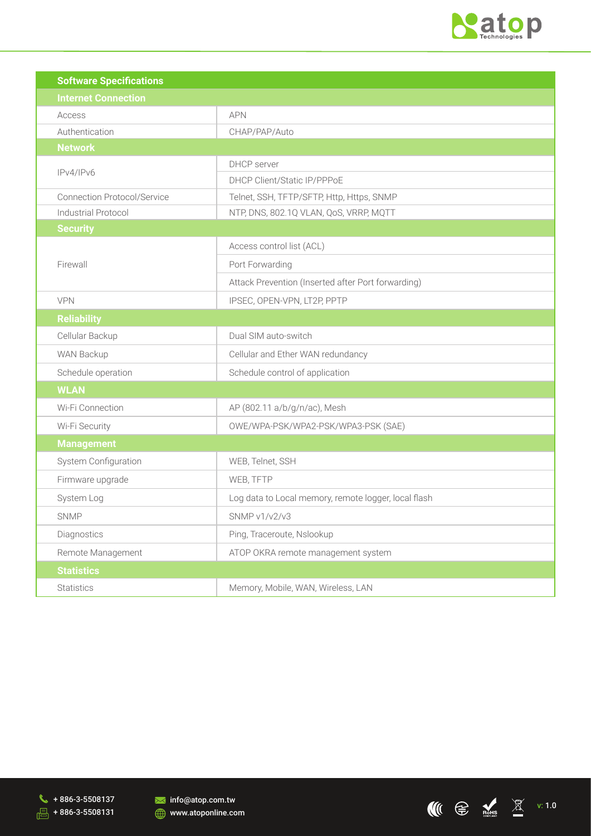

 $\left(\begin{matrix} \mathbb{U} & \mathbb{Q} & \mathbb{W} \end{matrix}\right)$  is the set of  $\mathbb{X}$  v: 1.0

| <b>Software Specifications</b>     |                                                      |  |
|------------------------------------|------------------------------------------------------|--|
| <b>Internet Connection</b>         |                                                      |  |
| Access                             | <b>APN</b>                                           |  |
| Authentication                     | CHAP/PAP/Auto                                        |  |
| <b>Network</b>                     |                                                      |  |
| IPv4/IPv6                          | <b>DHCP</b> server                                   |  |
|                                    | DHCP Client/Static IP/PPPoE                          |  |
| <b>Connection Protocol/Service</b> | Telnet, SSH, TFTP/SFTP, Http, Https, SNMP            |  |
| <b>Industrial Protocol</b>         | NTP, DNS, 802.1Q VLAN, QoS, VRRP, MQTT               |  |
| <b>Security</b>                    |                                                      |  |
|                                    | Access control list (ACL)                            |  |
| Firewall                           | Port Forwarding                                      |  |
|                                    | Attack Prevention (Inserted after Port forwarding)   |  |
| <b>VPN</b>                         | IPSEC, OPEN-VPN, LT2P, PPTP                          |  |
| <b>Reliability</b>                 |                                                      |  |
| Cellular Backup                    | Dual SIM auto-switch                                 |  |
| <b>WAN Backup</b>                  | Cellular and Ether WAN redundancy                    |  |
| Schedule operation                 | Schedule control of application                      |  |
| <b>WLAN</b>                        |                                                      |  |
| Wi-Fi Connection                   | AP (802.11 a/b/g/n/ac), Mesh                         |  |
| Wi-Fi Security                     | OWE/WPA-PSK/WPA2-PSK/WPA3-PSK (SAE)                  |  |
| <b>Management</b>                  |                                                      |  |
| System Configuration               | WEB, Telnet, SSH                                     |  |
| Firmware upgrade                   | WEB, TFTP                                            |  |
| System Log                         | Log data to Local memory, remote logger, local flash |  |
| SNMP                               | SNMP v1/v2/v3                                        |  |
| Diagnostics                        | Ping, Traceroute, Nslookup                           |  |
| Remote Management                  | ATOP OKRA remote management system                   |  |
| <b>Statistics</b>                  |                                                      |  |
| Statistics                         | Memory, Mobile, WAN, Wireless, LAN                   |  |



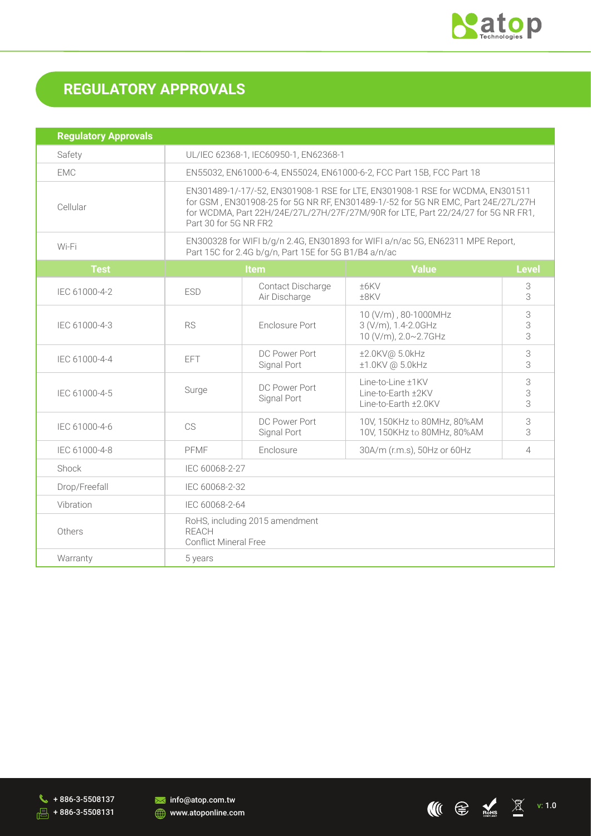

**VII**  $\bigoplus$  **M**<sub>is</sub>  $\overline{\mathbb{X}}$  v: 1.0

# **REGULATORY APPROVALS**

| <b>Regulatory Approvals</b> |                                                                                                                                                                                                                                                                                   |                                    |                                                                     |                                |
|-----------------------------|-----------------------------------------------------------------------------------------------------------------------------------------------------------------------------------------------------------------------------------------------------------------------------------|------------------------------------|---------------------------------------------------------------------|--------------------------------|
| Safety                      | UL/IEC 62368-1, IEC60950-1, EN62368-1                                                                                                                                                                                                                                             |                                    |                                                                     |                                |
| <b>EMC</b>                  | EN55032, EN61000-6-4, EN55024, EN61000-6-2, FCC Part 15B, FCC Part 18                                                                                                                                                                                                             |                                    |                                                                     |                                |
| Cellular                    | EN301489-1/-17/-52, EN301908-1 RSE for LTE, EN301908-1 RSE for WCDMA, EN301511<br>for GSM, EN301908-25 for 5G NR RF, EN301489-1/-52 for 5G NR EMC, Part 24E/27L/27H<br>for WCDMA, Part 22H/24E/27L/27H/27F/27M/90R for LTE, Part 22/24/27 for 5G NR FR1,<br>Part 30 for 5G NR FR2 |                                    |                                                                     |                                |
| Wi-Fi                       | EN300328 for WIFI b/g/n 2.4G, EN301893 for WIFI a/n/ac 5G, EN62311 MPE Report,<br>Part 15C for 2.4G b/g/n, Part 15E for 5G B1/B4 a/n/ac                                                                                                                                           |                                    |                                                                     |                                |
| <b>Test</b>                 |                                                                                                                                                                                                                                                                                   | <b>Item</b>                        | <b>Value</b>                                                        | <b>Level</b>                   |
| IEC 61000-4-2               | <b>ESD</b>                                                                                                                                                                                                                                                                        | Contact Discharge<br>Air Discharge | $±6$ KV<br>±8KV                                                     | 3<br>3                         |
| IEC 61000-4-3               | <b>RS</b>                                                                                                                                                                                                                                                                         | Enclosure Port                     | 10 (V/m), 80-1000MHz<br>3 (V/m), 1.4-2.0GHz<br>10 (V/m), 2.0~2.7GHz | 3<br>3<br>3                    |
| IEC 61000-4-4               | <b>EFT</b>                                                                                                                                                                                                                                                                        | DC Power Port<br>Signal Port       | ±2.0KV@ 5.0kHz<br>±1.0KV @ 5.0kHz                                   | $\ensuremath{\mathsf{3}}$<br>3 |
| IEC 61000-4-5               | Surge                                                                                                                                                                                                                                                                             | DC Power Port<br>Signal Port       | Line-to-Line ±1KV<br>Line-to-Earth +2KV<br>Line-to-Earth ±2.0KV     | 3<br>3<br>3                    |
| IEC 61000-4-6               | CS                                                                                                                                                                                                                                                                                | DC Power Port<br>Signal Port       | 10V, 150KHz to 80MHz, 80%AM<br>10V, 150KHz to 80MHz, 80%AM          | 3<br>3                         |
| IEC 61000-4-8               | PFMF                                                                                                                                                                                                                                                                              | Enclosure                          | 30A/m (r.m.s), 50Hz or 60Hz                                         | $\overline{4}$                 |
| Shock                       | IEC 60068-2-27                                                                                                                                                                                                                                                                    |                                    |                                                                     |                                |
| Drop/Freefall               | IEC 60068-2-32                                                                                                                                                                                                                                                                    |                                    |                                                                     |                                |
| Vibration                   | IEC 60068-2-64                                                                                                                                                                                                                                                                    |                                    |                                                                     |                                |
| Others                      | RoHS, including 2015 amendment<br><b>RFACH</b><br><b>Conflict Mineral Free</b>                                                                                                                                                                                                    |                                    |                                                                     |                                |
| Warranty                    | 5 years                                                                                                                                                                                                                                                                           |                                    |                                                                     |                                |